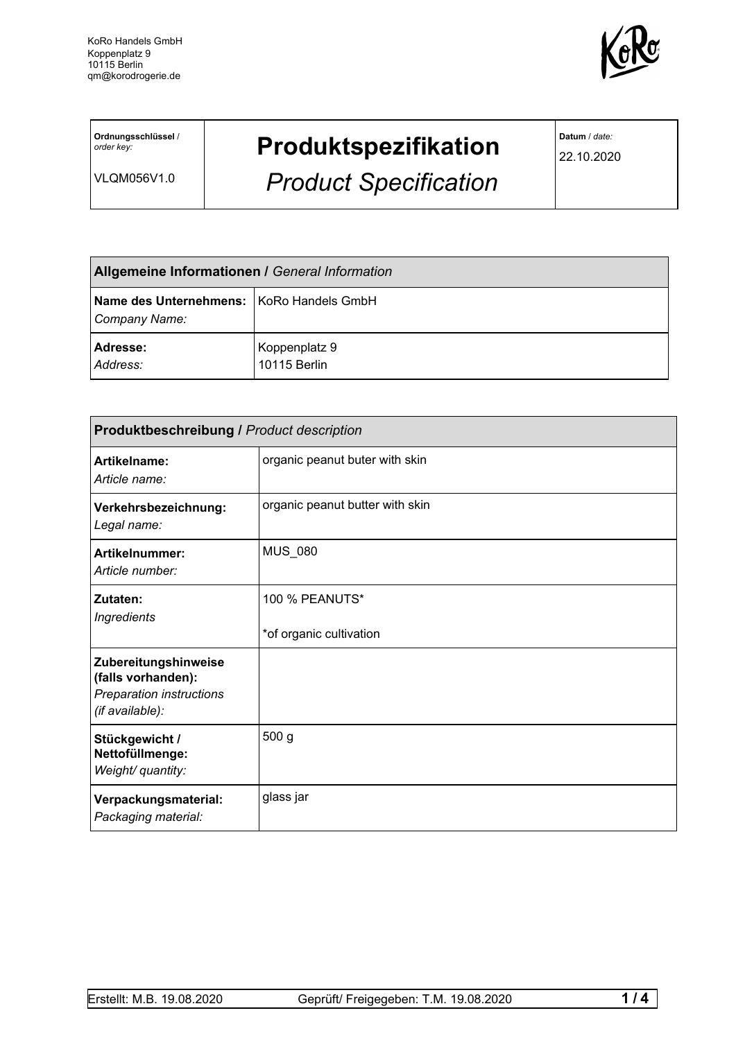

**Ordnungsschlüssel** / *order key:*

VLQM056V1.0

## **Produktspezifikation**

*Product Specification*

**Datum** / *date:*

22.10.2020

| <b>Allgemeine Informationen / General Information</b>     |                               |  |
|-----------------------------------------------------------|-------------------------------|--|
| Name des Unternehmens: KoRo Handels GmbH<br>Company Name: |                               |  |
| Adresse:<br>Address:                                      | Koppenplatz 9<br>10115 Berlin |  |

| <b>Produktbeschreibung / Product description</b>                                                 |                                                  |  |
|--------------------------------------------------------------------------------------------------|--------------------------------------------------|--|
| Artikelname:<br>Article name:                                                                    | organic peanut buter with skin                   |  |
| Verkehrsbezeichnung:<br>Legal name:                                                              | organic peanut butter with skin                  |  |
| Artikelnummer:<br>Article number:                                                                | MUS_080                                          |  |
| Zutaten:<br><b>Ingredients</b>                                                                   | <b>100 % PEANUTS*</b><br>*of organic cultivation |  |
| Zubereitungshinweise<br>(falls vorhanden):<br><b>Preparation instructions</b><br>(if available): |                                                  |  |
| Stückgewicht /<br>Nettofüllmenge:<br>Weight/ quantity:                                           | 500 <sub>g</sub>                                 |  |
| Verpackungsmaterial:<br>Packaging material:                                                      | glass jar                                        |  |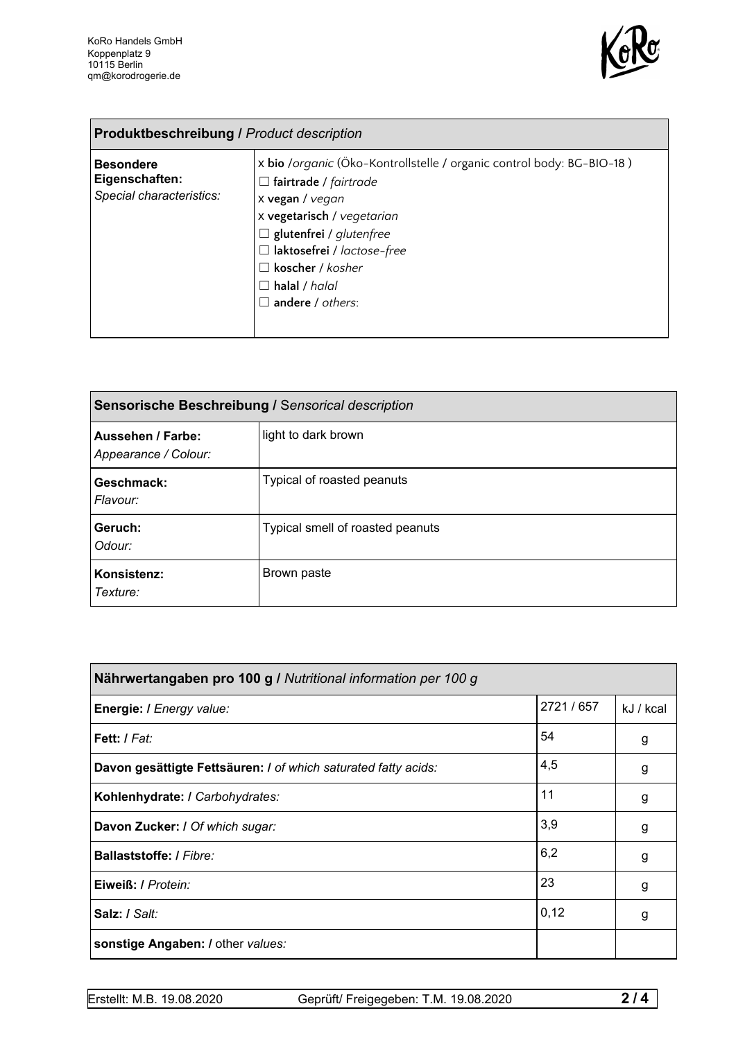

| <b>Produktbeschreibung / Product description</b>               |                                                                                                                                                                                                                                                                                                        |  |
|----------------------------------------------------------------|--------------------------------------------------------------------------------------------------------------------------------------------------------------------------------------------------------------------------------------------------------------------------------------------------------|--|
| <b>Besondere</b><br>Eigenschaften:<br>Special characteristics: | x bio /organic (Öko-Kontrollstelle / organic control body: BG-BIO-18)<br>$\Box$ fairtrade / fairtrade<br>x vegan / vegan<br>x vegetarisch / vegetarian<br>$\Box$ glutenfrei / glutenfree<br>□ laktosefrei / lactose-free<br>$\Box$ koscher / kosher<br>$\Box$ halal / halal<br>$\Box$ andere / others: |  |

| Sensorische Beschreibung / Sensorical description |                                  |  |
|---------------------------------------------------|----------------------------------|--|
| Aussehen / Farbe:<br>Appearance / Colour:         | light to dark brown              |  |
| Geschmack:<br>Flavour:                            | Typical of roasted peanuts       |  |
| Geruch:<br>Odour:                                 | Typical smell of roasted peanuts |  |
| Konsistenz:<br>Texture:                           | Brown paste                      |  |

| Nährwertangaben pro 100 g / Nutritional information per 100 g  |          |           |  |
|----------------------------------------------------------------|----------|-----------|--|
| Energie: I Energy value:                                       | 2721/657 | kJ / kcal |  |
| Fett: I Fat:                                                   | 54       | g         |  |
| Davon gesättigte Fettsäuren: I of which saturated fatty acids: | 4,5      | g         |  |
| Kohlenhydrate: I Carbohydrates:                                | 11       | g         |  |
| Davon Zucker: I Of which sugar:                                | 3,9      | g         |  |
| <b>Ballaststoffe: / Fibre:</b>                                 | 6,2      | g         |  |
| Eiweiß: / Protein:                                             | 23       | g         |  |
| Salz: / Salt:                                                  | 0,12     | g         |  |
| sonstige Angaben: / other values:                              |          |           |  |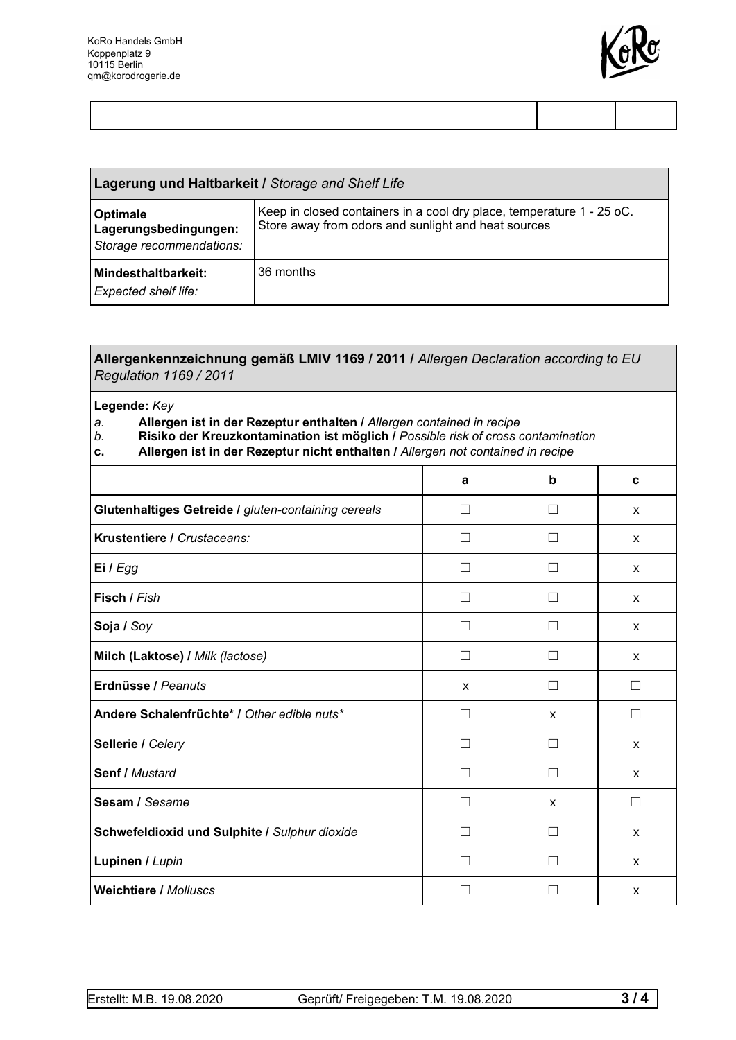

| Lagerung und Haltbarkeit / Storage and Shelf Life             |                                                                                                                              |  |
|---------------------------------------------------------------|------------------------------------------------------------------------------------------------------------------------------|--|
| Optimale<br>Lagerungsbedingungen:<br>Storage recommendations: | Keep in closed containers in a cool dry place, temperature 1 - 25 oC.<br>Store away from odors and sunlight and heat sources |  |
| <b>Mindesthaltbarkeit:</b><br><b>Expected shelf life:</b>     | 36 months                                                                                                                    |  |

| Allergenkennzeichnung gemäß LMIV 1169 / 2011 / Allergen Declaration according to EU<br><b>Regulation 1169 / 2011</b><br>Legende: Key<br>Allergen ist in der Rezeptur enthalten / Allergen contained in recipe<br>a.<br>b.<br>Risiko der Kreuzkontamination ist möglich / Possible risk of cross contamination<br>Allergen ist in der Rezeptur nicht enthalten / Allergen not contained in recipe<br>c. |              |              |              |
|--------------------------------------------------------------------------------------------------------------------------------------------------------------------------------------------------------------------------------------------------------------------------------------------------------------------------------------------------------------------------------------------------------|--------------|--------------|--------------|
|                                                                                                                                                                                                                                                                                                                                                                                                        |              |              |              |
| Glutenhaltiges Getreide / gluten-containing cereals                                                                                                                                                                                                                                                                                                                                                    |              | $\perp$      | X            |
| Krustentiere / Crustaceans:                                                                                                                                                                                                                                                                                                                                                                            |              | $\Box$       | $\mathsf{x}$ |
| Ei $l$ Egg                                                                                                                                                                                                                                                                                                                                                                                             | $\mathsf{L}$ | $\perp$      | X            |
| Fisch / Fish                                                                                                                                                                                                                                                                                                                                                                                           |              | П            | X            |
| Soja / Soy                                                                                                                                                                                                                                                                                                                                                                                             |              | $\mathsf{L}$ | X            |
| Milch (Laktose) / Milk (lactose)                                                                                                                                                                                                                                                                                                                                                                       |              | П            | X            |
| Erdnüsse / Peanuts                                                                                                                                                                                                                                                                                                                                                                                     | X            | П            | П            |
| Andere Schalenfrüchte* I Other edible nuts*                                                                                                                                                                                                                                                                                                                                                            |              | х            |              |

**Sellerie** */ Celery* x **□** □ □ x x

**Senf /** *Mustard* ☐ ☐ x

**Sesam** */ Sesame* □ □ □ x □

**Schwefeldioxid und Sulphite /** *Sulphur dioxide* ☐ ☐ x

**Lupinen /** *Lupin* ☐ ☐ x

**Weichtiere /** *Molluscs* ☐ ☐ x